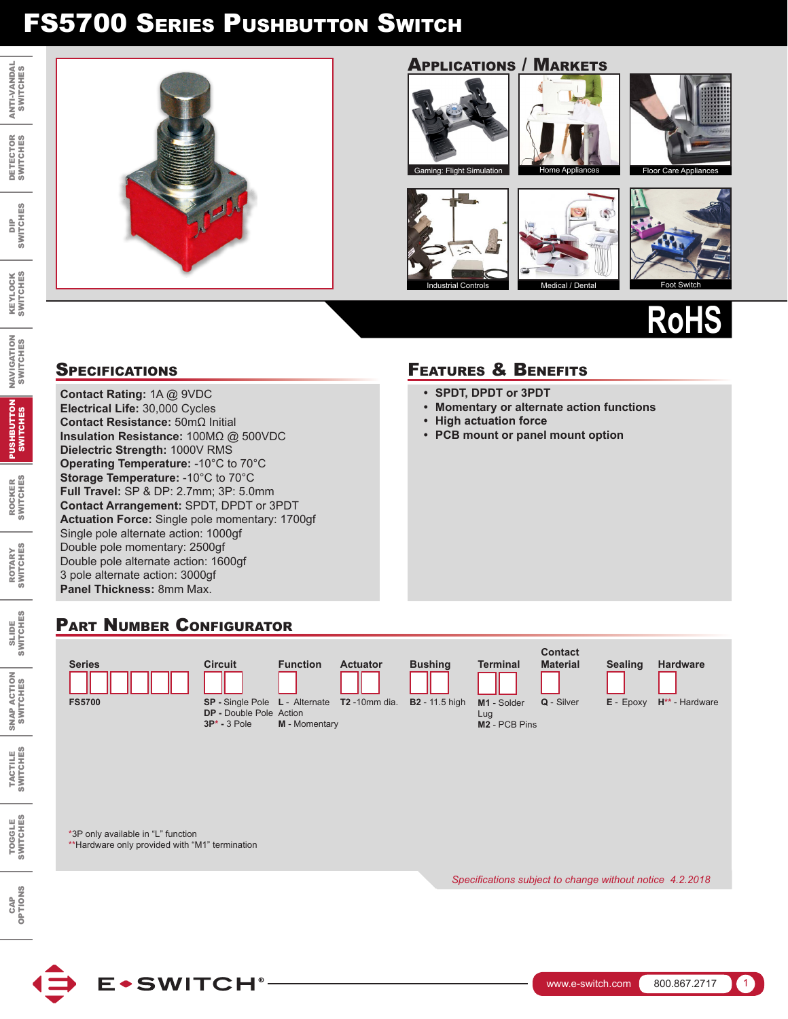

DIP<br>SWITCH SWITCHES

 $\frac{6}{10}$ 

KEYLOCK SWITCHES

**KEYLOCK**<br>SWITCHES

NAVIGATION SWITCHES

**NAVIGATION<br>SWITCHES** 

ROCKER SWITCHES

**ROCKER<br>SWITCHES** 

PUSHBUTTON SWITCHES

PUSHBUTTON

ROTARY SWITCHES

ROTARY<br>SWITCHES

SLIDE<br>SWITCHES SWITCHES

> SNAP ACTION SWITCHES

SNAP ACTION

TACTILE SWITCHES

TACTILE<br>SWITCHES

TOGGLE SWITCHES

TOGGLE<br>SWITCHES

CAP<br>OPTIONS OPTIONS

### Applications / Markets











# **RoHS**

**Contact Rating:** 1A @ 9VDC **Electrical Life:** 30,000 Cycles **Contact Resistance:** 50mΩ Initial **Insulation Resistance:** 100MΩ @ 500VDC **Dielectric Strength:** 1000V RMS **Operating Temperature:** -10°C to 70°C **Storage Temperature:** -10°C to 70°C **Full Travel:** SP & DP: 2.7mm; 3P: 5.0mm **Contact Arrangement:** SPDT, DPDT or 3PDT **Actuation Force:** Single pole momentary: 1700gf Single pole alternate action: 1000gf Double pole momentary: 2500gf Double pole alternate action: 1600gf 3 pole alternate action: 3000gf **Panel Thickness:** 8mm Max.

### SPECIFICATIONS **FEATURES & BENEFITS**

- **• SPDT, DPDT or 3PDT**
- **• Momentary or alternate action functions**
- **• High actuation force**
- **• PCB mount or panel mount option**

### PART NUMBER CONFIGURATOR

**E**\*SWITCH®

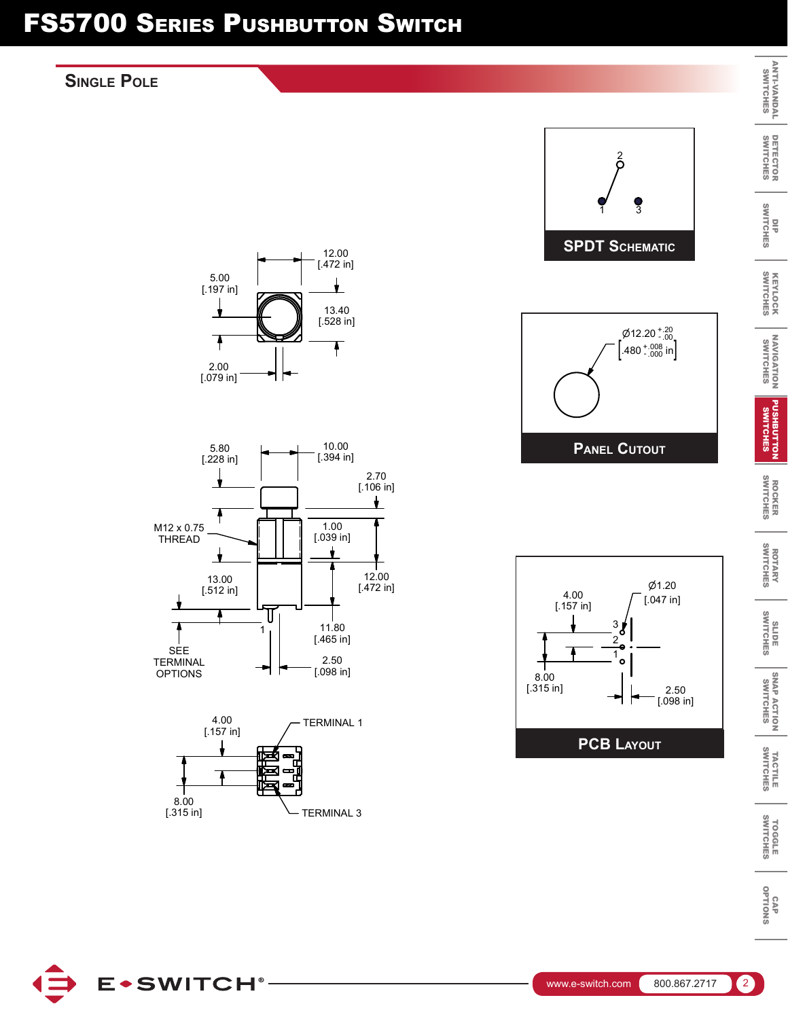### **Single Pole**



ANTI-VANDAL

DETECTOR

KEYLOCK

NAVIGATION

PUSHBUTTON

ROCKER

ROTARY

SNAP ACTION

TACTILE

TOGGLE

OPTIONS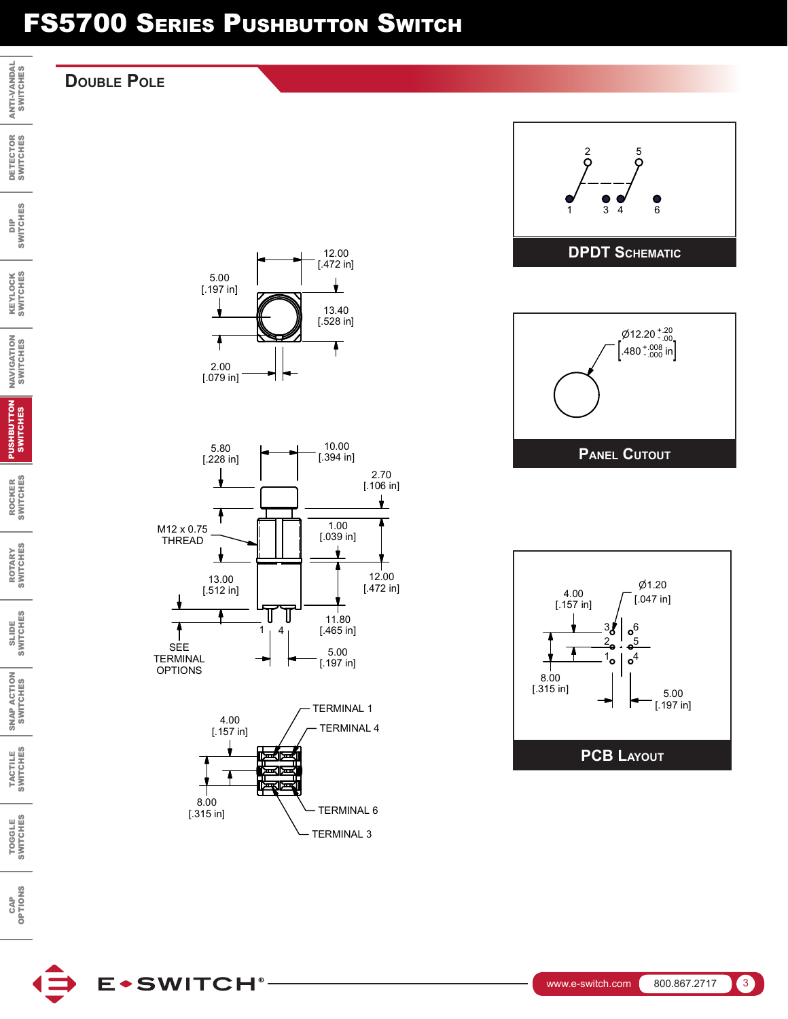### **Double Pole**

ANTI-VANDAL SWITCHES

KEYLOCK SWITCHES

NAVIGATION SWITCHES

PUSHBUTTON SWITCHES

ROCKER<br>SWITCHES SWITCHES ROCKER

ROTARY<br>SWITCHES SWITCHES ROTARY

SLIDE<br>SWITCHES SWITCHES

SNAP ACTION<br>SWITCHES SNAP ACTION SWITCHES

TACTILE<br>SWITCHES SWITCHES TACTILE

TOGGLE<br>SWITCHES SWITCHES TOGGLE

CAP<br>OPTIONS OPTIONS

**E**\*SWITCH®











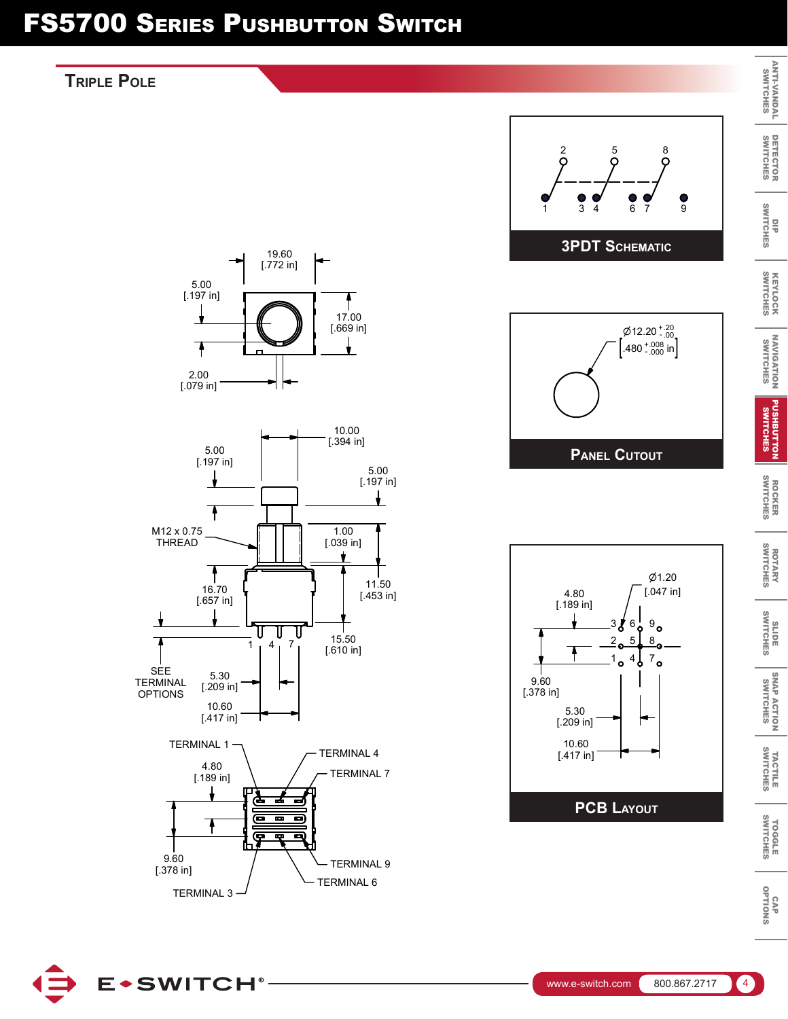### **Triple Pole**



TERMINAL 9

TERMINAL 6



TERMINAL 3

厚

œ

9.60 [.378 in] 5 **8** 

 $Ø1.20$ [.047 in]

6 7

 $\cancel{\emptyset}$ 12.20  $^{+.20}_{-.00}$  $.480^{+.008}_{-.000}$  in

 $\delta$ 

9

 $\bullet$